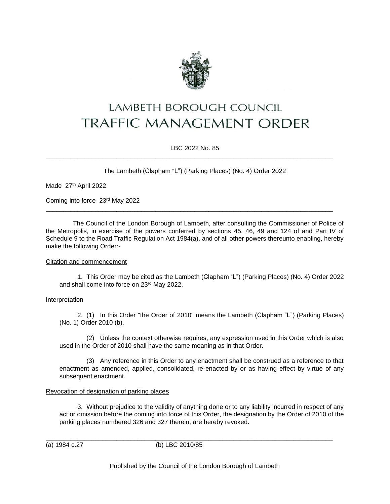

# LAMBETH BOROUGH COUNCIL **TRAFFIC MANAGEMENT ORDER**

LBC 2022 No. 85

\_\_\_\_\_\_\_\_\_\_\_\_\_\_\_\_\_\_\_\_\_\_\_\_\_\_\_\_\_\_\_\_\_\_\_\_\_\_\_\_\_\_\_\_\_\_\_\_\_\_\_\_\_\_\_\_\_\_\_\_\_\_\_\_\_\_\_\_\_\_\_\_\_\_\_\_\_\_\_\_\_

\_\_\_\_\_\_\_\_\_\_\_\_\_\_\_\_\_\_\_\_\_\_\_\_\_\_\_\_\_\_\_\_\_\_\_\_\_\_\_\_\_\_\_\_\_\_\_\_\_\_\_\_\_\_\_\_\_\_\_\_\_\_\_\_\_\_\_\_\_\_\_\_\_\_\_\_\_\_\_\_\_

The Lambeth (Clapham "L") (Parking Places) (No. 4) Order 2022

Made 27th April 2022

Coming into force 23rd May 2022

The Council of the London Borough of Lambeth, after consulting the Commissioner of Police of the Metropolis, in exercise of the powers conferred by sections 45, 46, 49 and 124 of and Part IV of Schedule 9 to the Road Traffic Regulation Act 1984(a), and of all other powers thereunto enabling, hereby make the following Order:-

## Citation and commencement

1. This Order may be cited as the Lambeth (Clapham "L") (Parking Places) (No. 4) Order 2022 and shall come into force on 23rd May 2022.

## Interpretation

2. (1) In this Order "the Order of 2010" means the Lambeth (Clapham "L") (Parking Places) (No. 1) Order 2010 (b).

(2) Unless the context otherwise requires, any expression used in this Order which is also used in the Order of 2010 shall have the same meaning as in that Order.

(3) Any reference in this Order to any enactment shall be construed as a reference to that enactment as amended, applied, consolidated, re-enacted by or as having effect by virtue of any subsequent enactment.

## Revocation of designation of parking places

3. Without prejudice to the validity of anything done or to any liability incurred in respect of any act or omission before the coming into force of this Order, the designation by the Order of 2010 of the parking places numbered 326 and 327 therein, are hereby revoked.

(a) 1984 c.27 (b) LBC 2010/85

\_\_\_\_\_\_\_\_\_\_\_\_\_\_\_\_\_\_\_\_\_\_\_\_\_\_\_\_\_\_\_\_\_\_\_\_\_\_\_\_\_\_\_\_\_\_\_\_\_\_\_\_\_\_\_\_\_\_\_\_\_\_\_\_\_\_\_\_\_\_\_\_\_\_\_\_\_\_\_\_\_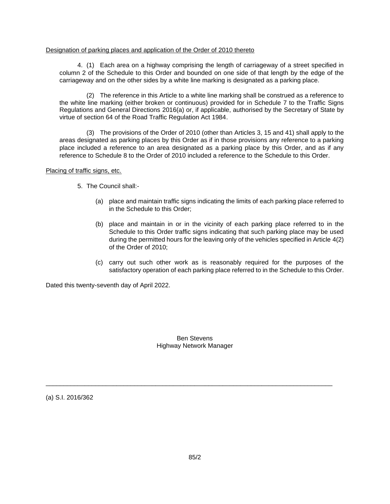#### Designation of parking places and application of the Order of 2010 thereto

4. (1) Each area on a highway comprising the length of carriageway of a street specified in column 2 of the Schedule to this Order and bounded on one side of that length by the edge of the carriageway and on the other sides by a white line marking is designated as a parking place.

(2) The reference in this Article to a white line marking shall be construed as a reference to the white line marking (either broken or continuous) provided for in Schedule 7 to the Traffic Signs Regulations and General Directions 2016(a) or, if applicable, authorised by the Secretary of State by virtue of section 64 of the Road Traffic Regulation Act 1984.

(3) The provisions of the Order of 2010 (other than Articles 3, 15 and 41) shall apply to the areas designated as parking places by this Order as if in those provisions any reference to a parking place included a reference to an area designated as a parking place by this Order, and as if any reference to Schedule 8 to the Order of 2010 included a reference to the Schedule to this Order.

Placing of traffic signs, etc.

5. The Council shall:-

- (a) place and maintain traffic signs indicating the limits of each parking place referred to in the Schedule to this Order;
- (b) place and maintain in or in the vicinity of each parking place referred to in the Schedule to this Order traffic signs indicating that such parking place may be used during the permitted hours for the leaving only of the vehicles specified in Article 4(2) of the Order of 2010;
- (c) carry out such other work as is reasonably required for the purposes of the satisfactory operation of each parking place referred to in the Schedule to this Order.

Dated this twenty-seventh day of April 2022.

Ben Stevens Highway Network Manager

\_\_\_\_\_\_\_\_\_\_\_\_\_\_\_\_\_\_\_\_\_\_\_\_\_\_\_\_\_\_\_\_\_\_\_\_\_\_\_\_\_\_\_\_\_\_\_\_\_\_\_\_\_\_\_\_\_\_\_\_\_\_\_\_\_\_\_\_\_\_\_\_\_\_\_\_\_\_\_\_\_

(a) S.I. 2016/362